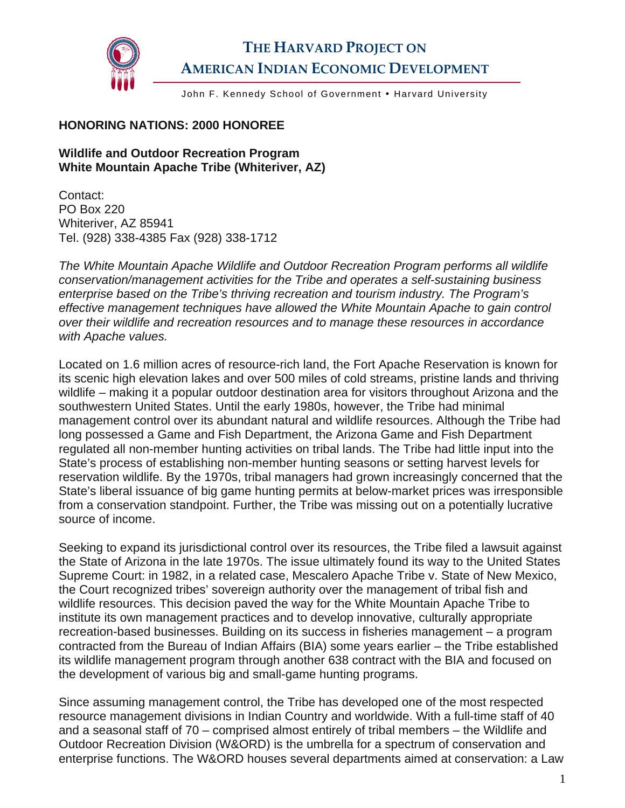

## **THE HARVARD PROJECT ON AMERICAN INDIAN ECONOMIC DEVELOPMENT**

John F. Kennedy School of Government . Harvard University

## **HONORING NATIONS: 2000 HONOREE**

## **Wildlife and Outdoor Recreation Program White Mountain Apache Tribe (Whiteriver, AZ)**

Contact: PO Box 220 Whiteriver, AZ 85941 Tel. (928) 338-4385 Fax (928) 338-1712

*The White Mountain Apache Wildlife and Outdoor Recreation Program performs all wildlife conservation/management activities for the Tribe and operates a self-sustaining business enterprise based on the Tribe's thriving recreation and tourism industry. The Program's effective management techniques have allowed the White Mountain Apache to gain control over their wildlife and recreation resources and to manage these resources in accordance with Apache values.* 

Located on 1.6 million acres of resource-rich land, the Fort Apache Reservation is known for its scenic high elevation lakes and over 500 miles of cold streams, pristine lands and thriving wildlife – making it a popular outdoor destination area for visitors throughout Arizona and the southwestern United States. Until the early 1980s, however, the Tribe had minimal management control over its abundant natural and wildlife resources. Although the Tribe had long possessed a Game and Fish Department, the Arizona Game and Fish Department regulated all non-member hunting activities on tribal lands. The Tribe had little input into the State's process of establishing non-member hunting seasons or setting harvest levels for reservation wildlife. By the 1970s, tribal managers had grown increasingly concerned that the State's liberal issuance of big game hunting permits at below-market prices was irresponsible from a conservation standpoint. Further, the Tribe was missing out on a potentially lucrative source of income.

Seeking to expand its jurisdictional control over its resources, the Tribe filed a lawsuit against the State of Arizona in the late 1970s. The issue ultimately found its way to the United States Supreme Court: in 1982, in a related case, Mescalero Apache Tribe v. State of New Mexico, the Court recognized tribes' sovereign authority over the management of tribal fish and wildlife resources. This decision paved the way for the White Mountain Apache Tribe to institute its own management practices and to develop innovative, culturally appropriate recreation-based businesses. Building on its success in fisheries management – a program contracted from the Bureau of Indian Affairs (BIA) some years earlier – the Tribe established its wildlife management program through another 638 contract with the BIA and focused on the development of various big and small-game hunting programs.

Since assuming management control, the Tribe has developed one of the most respected resource management divisions in Indian Country and worldwide. With a full-time staff of 40 and a seasonal staff of 70 – comprised almost entirely of tribal members – the Wildlife and Outdoor Recreation Division (W&ORD) is the umbrella for a spectrum of conservation and enterprise functions. The W&ORD houses several departments aimed at conservation: a Law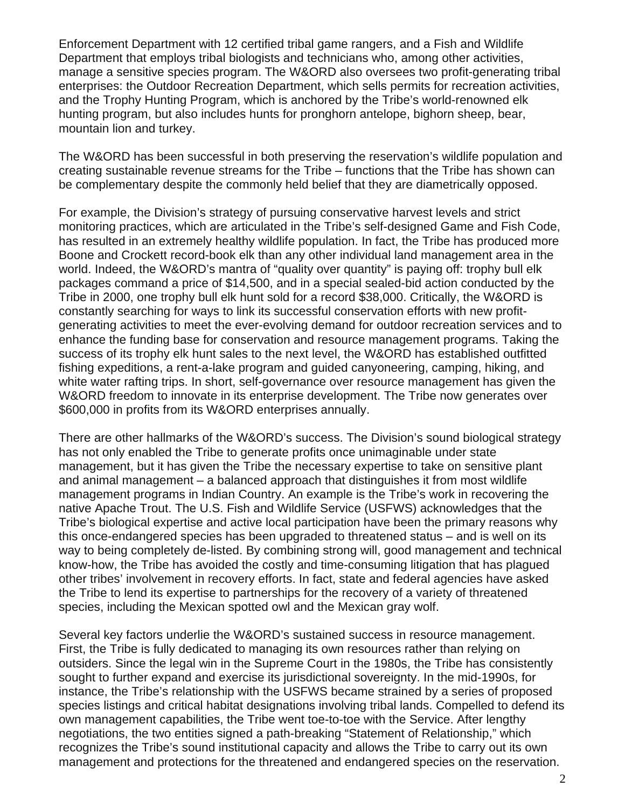Enforcement Department with 12 certified tribal game rangers, and a Fish and Wildlife Department that employs tribal biologists and technicians who, among other activities, manage a sensitive species program. The W&ORD also oversees two profit-generating tribal enterprises: the Outdoor Recreation Department, which sells permits for recreation activities, and the Trophy Hunting Program, which is anchored by the Tribe's world-renowned elk hunting program, but also includes hunts for pronghorn antelope, bighorn sheep, bear, mountain lion and turkey.

The W&ORD has been successful in both preserving the reservation's wildlife population and creating sustainable revenue streams for the Tribe – functions that the Tribe has shown can be complementary despite the commonly held belief that they are diametrically opposed.

For example, the Division's strategy of pursuing conservative harvest levels and strict monitoring practices, which are articulated in the Tribe's self-designed Game and Fish Code, has resulted in an extremely healthy wildlife population. In fact, the Tribe has produced more Boone and Crockett record-book elk than any other individual land management area in the world. Indeed, the W&ORD's mantra of "quality over quantity" is paying off: trophy bull elk packages command a price of \$14,500, and in a special sealed-bid action conducted by the Tribe in 2000, one trophy bull elk hunt sold for a record \$38,000. Critically, the W&ORD is constantly searching for ways to link its successful conservation efforts with new profitgenerating activities to meet the ever-evolving demand for outdoor recreation services and to enhance the funding base for conservation and resource management programs. Taking the success of its trophy elk hunt sales to the next level, the W&ORD has established outfitted fishing expeditions, a rent-a-lake program and guided canyoneering, camping, hiking, and white water rafting trips. In short, self-governance over resource management has given the W&ORD freedom to innovate in its enterprise development. The Tribe now generates over \$600,000 in profits from its W&ORD enterprises annually.

There are other hallmarks of the W&ORD's success. The Division's sound biological strategy has not only enabled the Tribe to generate profits once unimaginable under state management, but it has given the Tribe the necessary expertise to take on sensitive plant and animal management – a balanced approach that distinguishes it from most wildlife management programs in Indian Country. An example is the Tribe's work in recovering the native Apache Trout. The U.S. Fish and Wildlife Service (USFWS) acknowledges that the Tribe's biological expertise and active local participation have been the primary reasons why this once-endangered species has been upgraded to threatened status – and is well on its way to being completely de-listed. By combining strong will, good management and technical know-how, the Tribe has avoided the costly and time-consuming litigation that has plagued other tribes' involvement in recovery efforts. In fact, state and federal agencies have asked the Tribe to lend its expertise to partnerships for the recovery of a variety of threatened species, including the Mexican spotted owl and the Mexican gray wolf.

Several key factors underlie the W&ORD's sustained success in resource management. First, the Tribe is fully dedicated to managing its own resources rather than relying on outsiders. Since the legal win in the Supreme Court in the 1980s, the Tribe has consistently sought to further expand and exercise its jurisdictional sovereignty. In the mid-1990s, for instance, the Tribe's relationship with the USFWS became strained by a series of proposed species listings and critical habitat designations involving tribal lands. Compelled to defend its own management capabilities, the Tribe went toe-to-toe with the Service. After lengthy negotiations, the two entities signed a path-breaking "Statement of Relationship," which recognizes the Tribe's sound institutional capacity and allows the Tribe to carry out its own management and protections for the threatened and endangered species on the reservation.